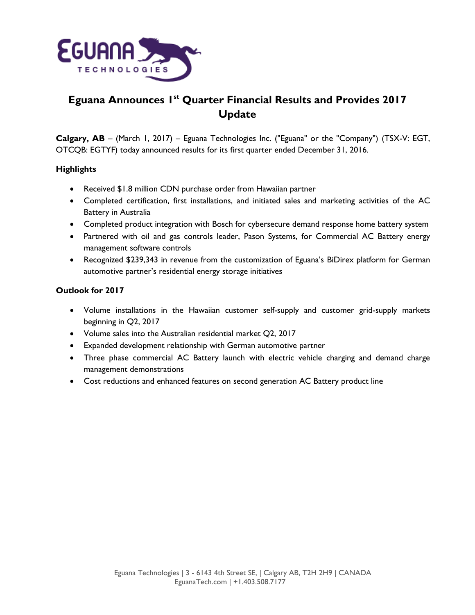

# **Eguana Announces 1 st Quarter Financial Results and Provides 2017 Update**

**Calgary, AB** – (March 1, 2017) – Eguana Technologies Inc. ("Eguana" or the "Company") (TSX-V: EGT, OTCQB: EGTYF) today announced results for its first quarter ended December 31, 2016.

## **Highlights**

- Received \$1.8 million CDN purchase order from Hawaiian partner
- Completed certification, first installations, and initiated sales and marketing activities of the AC Battery in Australia
- Completed product integration with Bosch for cybersecure demand response home battery system
- Partnered with oil and gas controls leader, Pason Systems, for Commercial AC Battery energy management software controls
- Recognized \$239,343 in revenue from the customization of Eguana's BiDirex platform for German automotive partner's residential energy storage initiatives

## **Outlook for 2017**

- Volume installations in the Hawaiian customer self-supply and customer grid-supply markets beginning in Q2, 2017
- Volume sales into the Australian residential market Q2, 2017
- Expanded development relationship with German automotive partner
- Three phase commercial AC Battery launch with electric vehicle charging and demand charge management demonstrations
- Cost reductions and enhanced features on second generation AC Battery product line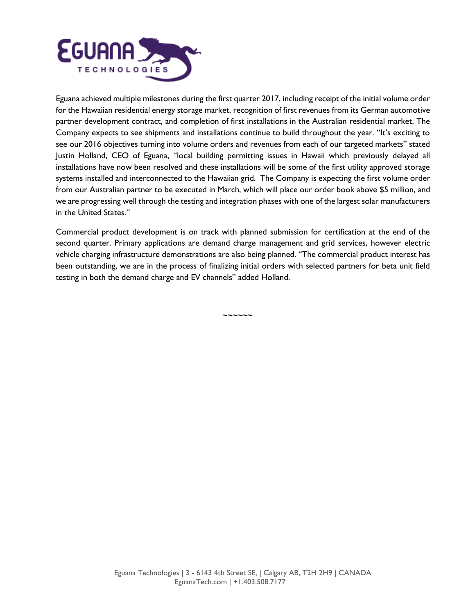

Eguana achieved multiple milestones during the first quarter 2017, including receipt of the initial volume order for the Hawaiian residential energy storage market, recognition of first revenues from its German automotive partner development contract, and completion of first installations in the Australian residential market. The Company expects to see shipments and installations continue to build throughout the year. "It's exciting to see our 2016 objectives turning into volume orders and revenues from each of our targeted markets" stated Justin Holland, CEO of Eguana, "local building permitting issues in Hawaii which previously delayed all installations have now been resolved and these installations will be some of the first utility approved storage systems installed and interconnected to the Hawaiian grid. The Company is expecting the first volume order from our Australian partner to be executed in March, which will place our order book above \$5 million, and we are progressing well through the testing and integration phases with one of the largest solar manufacturers in the United States."

Commercial product development is on track with planned submission for certification at the end of the second quarter. Primary applications are demand charge management and grid services, however electric vehicle charging infrastructure demonstrations are also being planned. "The commercial product interest has been outstanding, we are in the process of finalizing initial orders with selected partners for beta unit field testing in both the demand charge and EV channels" added Holland.

~~~~~~

Eguana Technologies | 3 - 6143 4th Street SE, | Calgary AB, T2H 2H9 | CANADA EguanaTech.com | +1.403.508.7177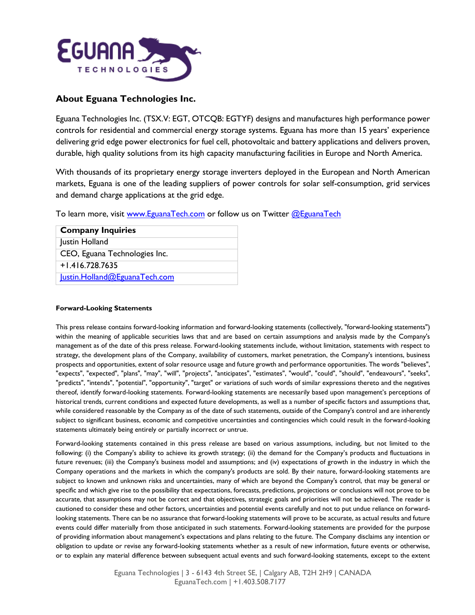

## **About Eguana Technologies Inc.**

Eguana Technologies Inc. (TSX.V: EGT, OTCQB: EGTYF) designs and manufactures high performance power controls for residential and commercial energy storage systems. Eguana has more than 15 years' experience delivering grid edge power electronics for fuel cell, photovoltaic and battery applications and delivers proven, durable, high quality solutions from its high capacity manufacturing facilities in Europe and North America.

With thousands of its proprietary energy storage inverters deployed in the European and North American markets, Eguana is one of the leading suppliers of power controls for solar self-consumption, grid services and demand charge applications at the grid edge.

To learn more, visit [www.EguanaTech.com](http://www.eguanatech.com/) or follow us on Twitter [@EguanaTech](https://twitter.com/EguanaTech)

| <b>Company Inquiries</b>      |  |
|-------------------------------|--|
| Justin Holland                |  |
| CEO, Eguana Technologies Inc. |  |
| $+1.416.728.7635$             |  |
| lustin.Holland@EguanaTech.com |  |

### **Forward-Looking Statements**

This press release contains forward-looking information and forward-looking statements (collectively, "forward-looking statements") within the meaning of applicable securities laws that and are based on certain assumptions and analysis made by the Company's management as of the date of this press release. Forward-looking statements include, without limitation, statements with respect to strategy, the development plans of the Company, availability of customers, market penetration, the Company's intentions, business prospects and opportunities, extent of solar resource usage and future growth and performance opportunities. The words "believes", "expects", "expected", "plans", "may", "will", "projects", "anticipates", "estimates", "would", "could", "should", "endeavours", "seeks", "predicts", "intends", "potential", "opportunity", "target" or variations of such words of similar expressions thereto and the negatives thereof, identify forward-looking statements. Forward-looking statements are necessarily based upon management's perceptions of historical trends, current conditions and expected future developments, as well as a number of specific factors and assumptions that, while considered reasonable by the Company as of the date of such statements, outside of the Company's control and are inherently subject to significant business, economic and competitive uncertainties and contingencies which could result in the forward-looking statements ultimately being entirely or partially incorrect or untrue.

Forward-looking statements contained in this press release are based on various assumptions, including, but not limited to the following: (i) the Company's ability to achieve its growth strategy; (ii) the demand for the Company's products and fluctuations in future revenues; (iii) the Company's business model and assumptions; and (iv) expectations of growth in the industry in which the Company operations and the markets in which the company's products are sold. By their nature, forward-looking statements are subject to known and unknown risks and uncertainties, many of which are beyond the Company's control, that may be general or specific and which give rise to the possibility that expectations, forecasts, predictions, projections or conclusions will not prove to be accurate, that assumptions may not be correct and that objectives, strategic goals and priorities will not be achieved. The reader is cautioned to consider these and other factors, uncertainties and potential events carefully and not to put undue reliance on forwardlooking statements. There can be no assurance that forward-looking statements will prove to be accurate, as actual results and future events could differ materially from those anticipated in such statements. Forward-looking statements are provided for the purpose of providing information about management's expectations and plans relating to the future. The Company disclaims any intention or obligation to update or revise any forward-looking statements whether as a result of new information, future events or otherwise, or to explain any material difference between subsequent actual events and such forward-looking statements, except to the extent